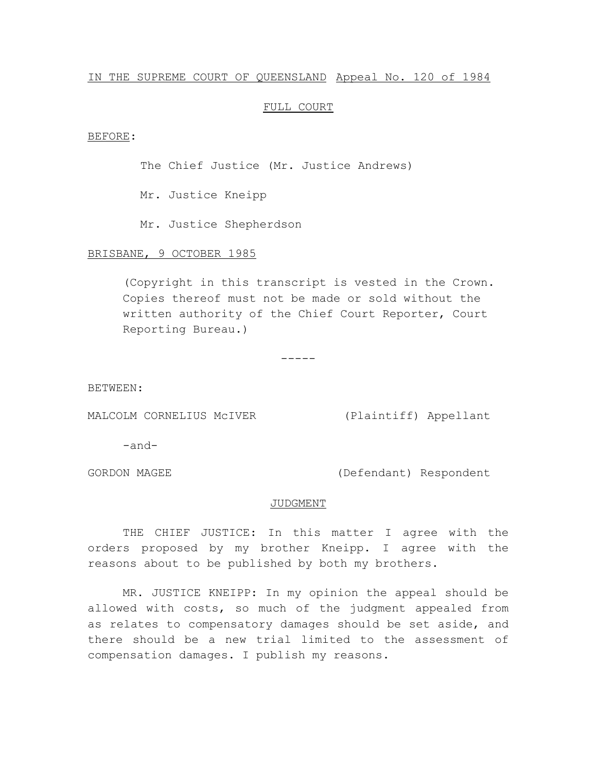### IN THE SUPREME COURT OF QUEENSLAND Appeal No. 120 of 1984

## FULL COURT

#### BEFORE:

The Chief Justice (Mr. Justice Andrews)

Mr. Justice Kneipp

Mr. Justice Shepherdson

# BRISBANE, 9 OCTOBER 1985

(Copyright in this transcript is vested in the Crown. Copies thereof must not be made or sold without the written authority of the Chief Court Reporter, Court Reporting Bureau.)

-----

BETWEEN:

MALCOLM CORNELIUS McIVER (Plaintiff) Appellant

-and-

GORDON MAGEE (Defendant) Respondent

#### JUDGMENT

THE CHIEF JUSTICE: In this matter I agree with the orders proposed by my brother Kneipp. I agree with the reasons about to be published by both my brothers.

MR. JUSTICE KNEIPP: In my opinion the appeal should be allowed with costs, so much of the judgment appealed from as relates to compensatory damages should be set aside, and there should be a new trial limited to the assessment of compensation damages. I publish my reasons.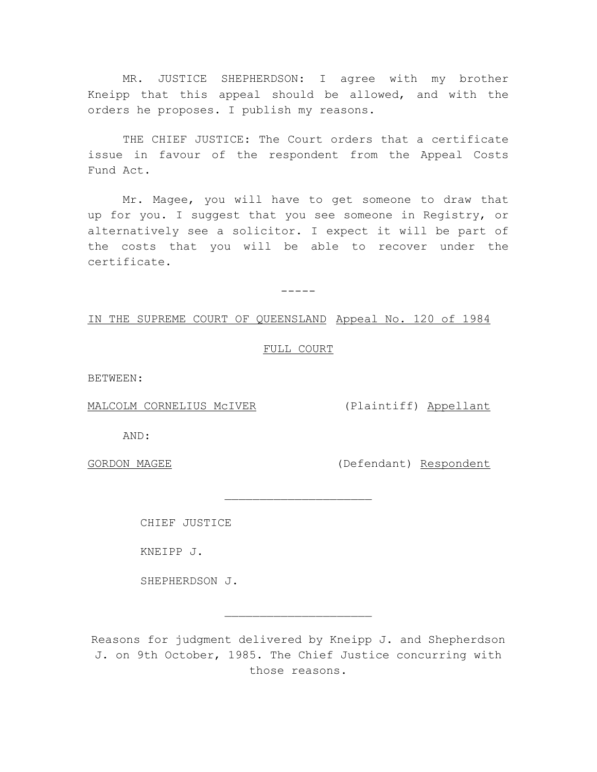MR. JUSTICE SHEPHERDSON: I agree with my brother Kneipp that this appeal should be allowed, and with the orders he proposes. I publish my reasons.

THE CHIEF JUSTICE: The Court orders that a certificate issue in favour of the respondent from the Appeal Costs Fund Act.

Mr. Magee, you will have to get someone to draw that up for you. I suggest that you see someone in Registry, or alternatively see a solicitor. I expect it will be part of the costs that you will be able to recover under the certificate.

 $-----$ 

# IN THE SUPREME COURT OF QUEENSLAND Appeal No. 120 of 1984

# FULL COURT

 $\overline{\phantom{a}}$  , where  $\overline{\phantom{a}}$  , where  $\overline{\phantom{a}}$  , where  $\overline{\phantom{a}}$ 

BETWEEN:

MALCOLM CORNELIUS McIVER (Plaintiff) Appellant

AND:

GORDON MAGEE (Defendant) Respondent

CHIEF JUSTICE

KNEIPP J.

SHEPHERDSON J.

Reasons for judgment delivered by Kneipp J. and Shepherdson J. on 9th October, 1985. The Chief Justice concurring with those reasons.

 $\overline{\phantom{a}}$  , where  $\overline{\phantom{a}}$  , where  $\overline{\phantom{a}}$  , where  $\overline{\phantom{a}}$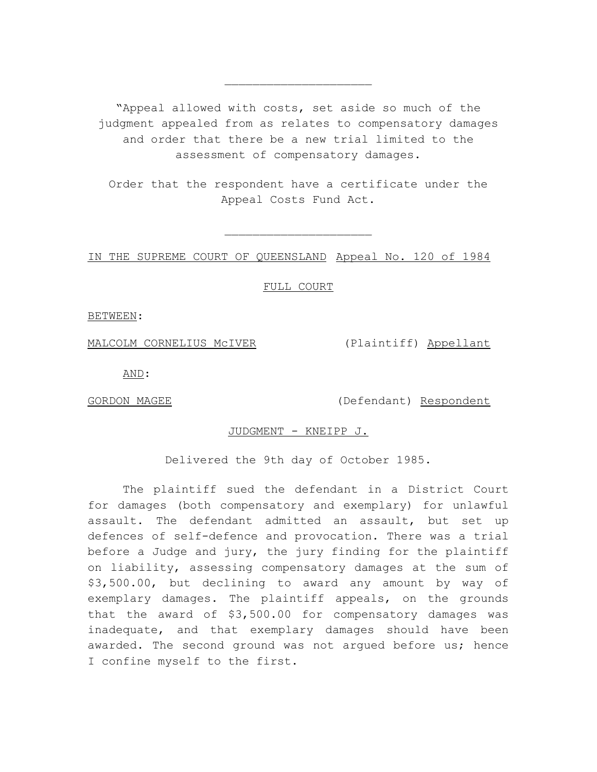"Appeal allowed with costs, set aside so much of the judgment appealed from as relates to compensatory damages and order that there be a new trial limited to the assessment of compensatory damages.

 $\overline{\phantom{a}}$  , where  $\overline{\phantom{a}}$  , where  $\overline{\phantom{a}}$  , where  $\overline{\phantom{a}}$ 

Order that the respondent have a certificate under the Appeal Costs Fund Act.

 $\overline{\phantom{a}}$  , where  $\overline{\phantom{a}}$  , where  $\overline{\phantom{a}}$  , where  $\overline{\phantom{a}}$ 

IN THE SUPREME COURT OF QUEENSLAND Appeal No. 120 of 1984

FULL COURT

BETWEEN:

MALCOLM CORNELIUS McIVER (Plaintiff) Appellant

AND:

GORDON MAGEE (Defendant) Respondent

JUDGMENT - KNEIPP J.

Delivered the 9th day of October 1985.

The plaintiff sued the defendant in a District Court for damages (both compensatory and exemplary) for unlawful assault. The defendant admitted an assault, but set up defences of self-defence and provocation. There was a trial before a Judge and jury, the jury finding for the plaintiff on liability, assessing compensatory damages at the sum of \$3,500.00, but declining to award any amount by way of exemplary damages. The plaintiff appeals, on the grounds that the award of \$3,500.00 for compensatory damages was inadequate, and that exemplary damages should have been awarded. The second ground was not argued before us; hence I confine myself to the first.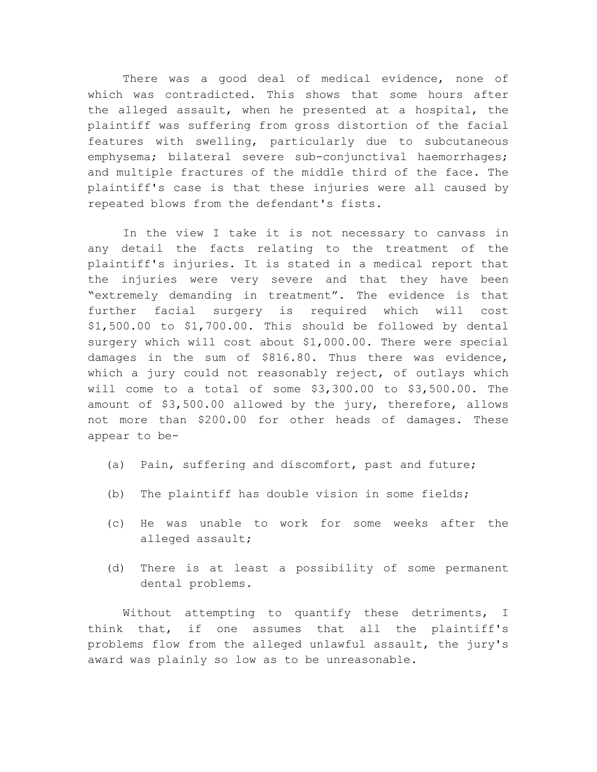There was a good deal of medical evidence, none of which was contradicted. This shows that some hours after the alleged assault, when he presented at a hospital, the plaintiff was suffering from gross distortion of the facial features with swelling, particularly due to subcutaneous emphysema; bilateral severe sub-conjunctival haemorrhages; and multiple fractures of the middle third of the face. The plaintiff's case is that these injuries were all caused by repeated blows from the defendant's fists.

In the view I take it is not necessary to canvass in any detail the facts relating to the treatment of the plaintiff's injuries. It is stated in a medical report that the injuries were very severe and that they have been "extremely demanding in treatment". The evidence is that further facial surgery is required which will cost \$1,500.00 to \$1,700.00. This should be followed by dental surgery which will cost about \$1,000.00. There were special damages in the sum of \$816.80. Thus there was evidence, which a jury could not reasonably reject, of outlays which will come to a total of some \$3,300.00 to \$3,500.00. The amount of \$3,500.00 allowed by the jury, therefore, allows not more than \$200.00 for other heads of damages. These appear to be-

- (a) Pain, suffering and discomfort, past and future;
- (b) The plaintiff has double vision in some fields;
- (c) He was unable to work for some weeks after the alleged assault;
- (d) There is at least a possibility of some permanent dental problems.

Without attempting to quantify these detriments, I think that, if one assumes that all the plaintiff's problems flow from the alleged unlawful assault, the jury's award was plainly so low as to be unreasonable.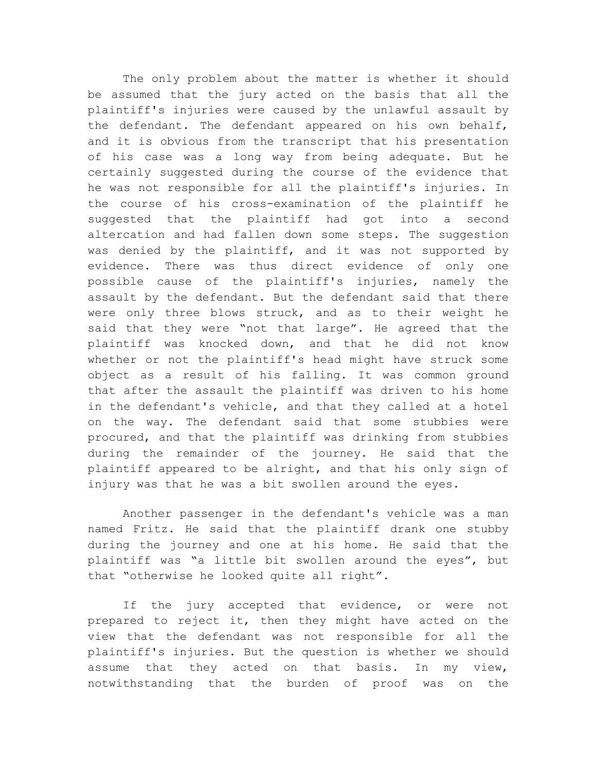The only problem about the matter is whether it should be assumed that the jury acted on the basis that all the plaintiff's injuries were caused by the unlawful assault by the defendant. The defendant appeared on his own behalf, and it is obvious from the transcript that his presentation of his case was a long way from being adequate. But he certainly suggested during the course of the evidence that he was not responsible for all the plaintiff's injuries. In the course of his cross-examination of the plaintiff he suggested that the plaintiff had got into a second altercation and had fallen down some steps. The suggestion was denied by the plaintiff, and it was not supported by evidence. There was thus direct evidence of only one possible cause of the plaintiff's injuries, namely the assault by the defendant. But the defendant said that there were only three blows struck, and as to their weight he said that they were "not that large". He agreed that the plaintiff was knocked down, and that he did not know whether or not the plaintiff's head might have struck some object as a result of his falling. It was common ground that after the assault the plaintiff was driven to his home in the defendant's vehicle, and that they called at a hotel on the way. The defendant said that some stubbies were procured, and that the plaintiff was drinking from stubbies during the remainder of the journey. He said that the plaintiff appeared to be alright, and that his only sign of injury was that he was a bit swollen around the eyes.

Another passenger in the defendant's vehicle was a man named Fritz. He said that the plaintiff drank one stubby during the journey and one at his home. He said that the plaintiff was "a little bit swollen around the eyes", but that "otherwise he looked quite all right".

If the jury accepted that evidence, or were not prepared to reject it, then they might have acted on the view that the defendant was not responsible for all the plaintiff's injuries. But the question is whether we should assume that they acted on that basis. In my view, notwithstanding that the burden of proof was on the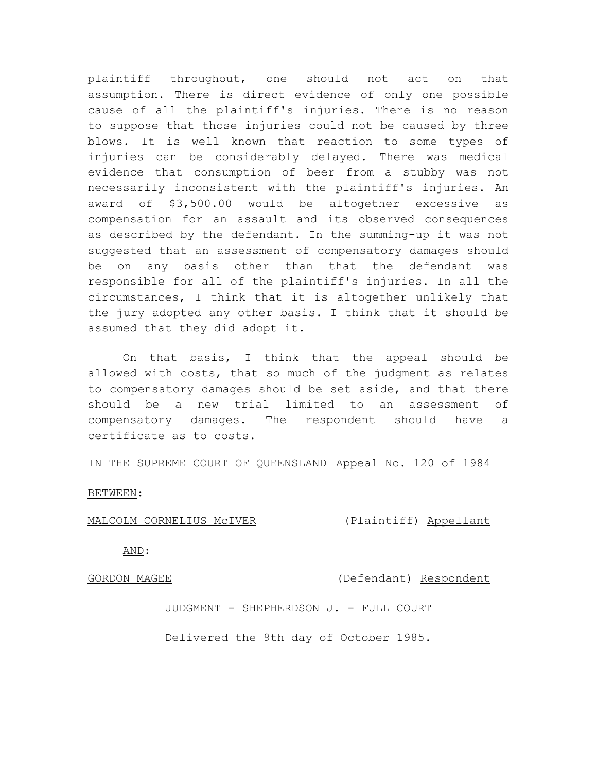plaintiff throughout, one should not act on that assumption. There is direct evidence of only one possible cause of all the plaintiff's injuries. There is no reason to suppose that those injuries could not be caused by three blows. It is well known that reaction to some types of injuries can be considerably delayed. There was medical evidence that consumption of beer from a stubby was not necessarily inconsistent with the plaintiff's injuries. An award of \$3,500.00 would be altogether excessive as compensation for an assault and its observed consequences as described by the defendant. In the summing-up it was not suggested that an assessment of compensatory damages should be on any basis other than that the defendant was responsible for all of the plaintiff's injuries. In all the circumstances, I think that it is altogether unlikely that the jury adopted any other basis. I think that it should be assumed that they did adopt it.

On that basis, I think that the appeal should be allowed with costs, that so much of the judgment as relates to compensatory damages should be set aside, and that there should be a new trial limited to an assessment of compensatory damages. The respondent should have a certificate as to costs.

## IN THE SUPREME COURT OF QUEENSLAND Appeal No. 120 of 1984

BETWEEN:

MALCOLM CORNELIUS McIVER (Plaintiff) Appellant

AND:

GORDON MAGEE (Defendant) Respondent

## JUDGMENT - SHEPHERDSON J. - FULL COURT

Delivered the 9th day of October 1985.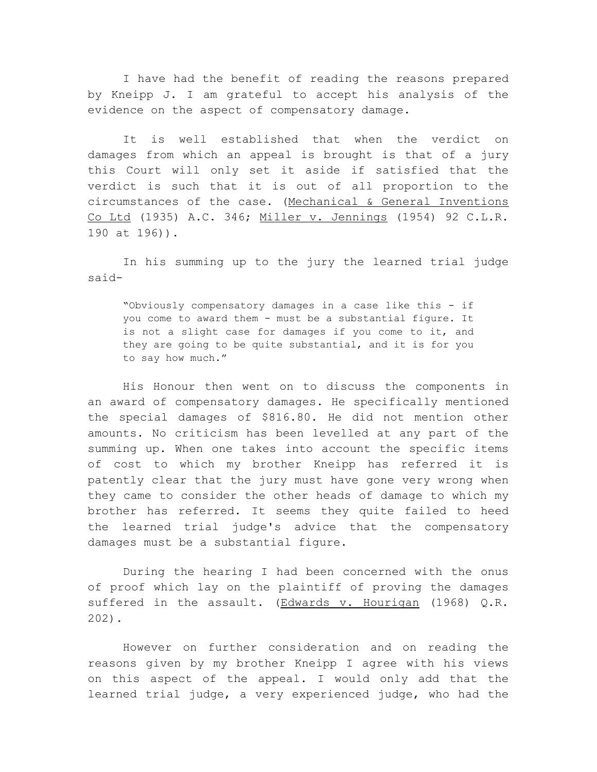I have had the benefit of reading the reasons prepared by Kneipp J. I am grateful to accept his analysis of the evidence on the aspect of compensatory damage.

It is well established that when the verdict on damages from which an appeal is brought is that of a jury this Court will only set it aside if satisfied that the verdict is such that it is out of all proportion to the circumstances of the case. (Mechanical & General Inventions Co Ltd (1935) A.C. 346; Miller v. Jennings (1954) 92 C.L.R. 190 at 196)).

In his summing up to the jury the learned trial judge said-

"Obviously compensatory damages in a case like this - if you come to award them - must be a substantial figure. It is not a slight case for damages if you come to it, and they are going to be quite substantial, and it is for you to say how much."

His Honour then went on to discuss the components in an award of compensatory damages. He specifically mentioned the special damages of \$816.80. He did not mention other amounts. No criticism has been levelled at any part of the summing up. When one takes into account the specific items of cost to which my brother Kneipp has referred it is patently clear that the jury must have gone very wrong when they came to consider the other heads of damage to which my brother has referred. It seems they quite failed to heed the learned trial judge's advice that the compensatory damages must be a substantial figure.

During the hearing I had been concerned with the onus of proof which lay on the plaintiff of proving the damages suffered in the assault. (Edwards v. Hourigan (1968) Q.R. 202).

However on further consideration and on reading the reasons given by my brother Kneipp I agree with his views on this aspect of the appeal. I would only add that the learned trial judge, a very experienced judge, who had the